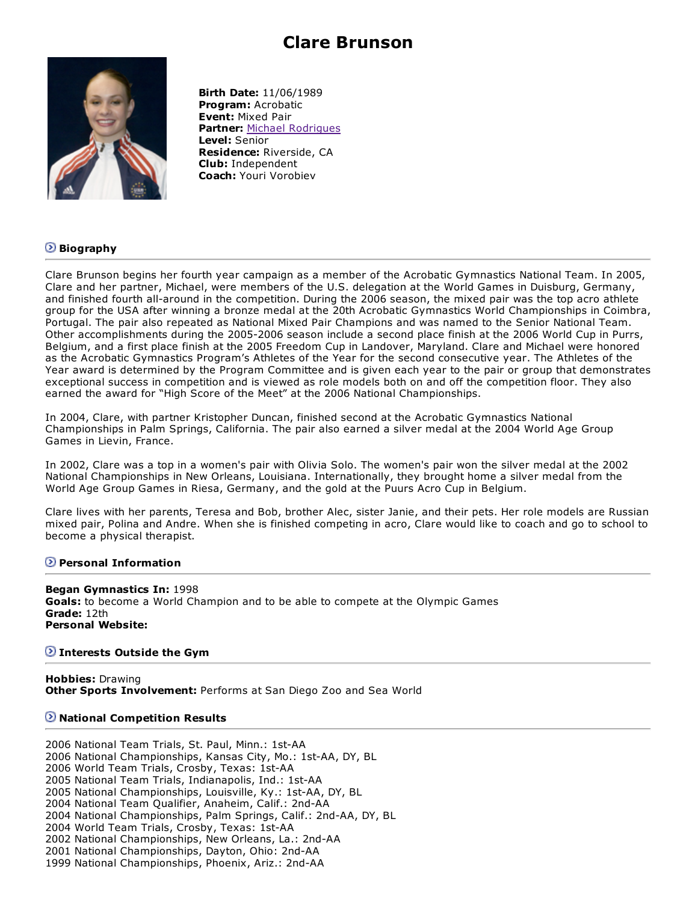# **Clare Brunson**



**Birth Date:** 11/06/1989 **Program:** Acrobatic **Event:** Mixed Pair **Partner:** Michael Rodrigues **Level:** Senior **Residence:** Riverside, CA **Club:** Independent **Coach:** Youri Vorobiev

## **Biography**

Clare Brunson begins her fourth year campaign as a member of the Acrobatic Gymnastics National Team. In 2005, Clare and her partner, Michael, were members of the U.S. delegation at the World Games in Duisburg, Germany, and finished fourth all-around in the competition. During the 2006 season, the mixed pair was the top acro athlete group for the USA after winning a bronze medal at the 20th Acrobatic Gymnastics World Championships in Coimbra, Portugal. The pair also repeated as National Mixed Pair Champions and was named to the Senior National Team. Other accomplishments during the 2005-2006 season include a second place finish at the 2006 World Cup in Purrs, Belgium, and a first place finish at the 2005 Freedom Cup in Landover, Maryland. Clare and Michael were honored as the Acrobatic Gymnastics Program's Athletes of the Year for the second consecutive year. The Athletes of the Year award is determined by the Program Committee and is given each year to the pair or group that demonstrates exceptional success in competition and is viewed as role models both on and off the competition floor. They also earned the award for "High Score of the Meet" at the 2006 National Championships.

In 2004, Clare, with partner Kristopher Duncan, finished second at the Acrobatic Gymnastics National Championships in Palm Springs, California. The pair also earned a silver medal at the 2004 World Age Group Games in Lievin, France.

In 2002, Clare was a top in a women's pair with Olivia Solo. The women's pair won the silver medal at the 2002 National Championships in New Orleans, Louisiana. Internationally, they brought home a silver medal from the World Age Group Games in Riesa, Germany, and the gold at the Puurs Acro Cup in Belgium.

Clare lives with her parents, Teresa and Bob, brother Alec, sister Janie, and their pets. Her role models are Russian mixed pair, Polina and Andre. When she is finished competing in acro, Clare would like to coach and go to school to become a physical therapist.

### **Personal Information**

**Began Gymnastics In:** 1998 **Goals:** to become a World Champion and to be able to compete at the Olympic Games **Grade:** 12th **Personal Website:**

#### **Interests Outside the Gym**

**Hobbies:** Drawing **Other Sports Involvement:** Performs at San Diego Zoo and Sea World

#### **National Competition Results**

2006 National Team Trials, St. Paul, Minn.: 1st-AA 2006 National Championships, Kansas City, Mo.: 1st-AA, DY, BL 2006 World Team Trials, Crosby, Texas: 1st-AA 2005 National Team Trials, Indianapolis, Ind.: 1st-AA 2005 National Championships, Louisville, Ky.: 1st-AA, DY, BL 2004 National Team Qualifier, Anaheim, Calif.: 2nd-AA 2004 National Championships, Palm Springs, Calif.: 2nd-AA, DY, BL 2004 World Team Trials, Crosby, Texas: 1st-AA 2002 National Championships, New Orleans, La.: 2nd-AA 2001 National Championships, Dayton, Ohio: 2nd-AA 1999 National Championships, Phoenix, Ariz.: 2nd-AA